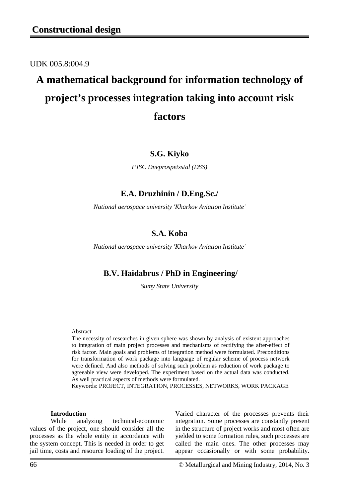UDK 005.8:004.9

# **A mathematical background for information technology of project's processes integration taking into account risk factors**

### **S.G. Kiyko**

*PJSC Dneprospetsstal (DSS)*

## **E.A. Druzhinin / D.Eng.Sc./**

*National aerospace university 'Kharkov Aviation Institute'*

## **S.A. Koba**

*National aerospace university 'Kharkov Aviation Institute'*

## **B.V. Haidabrus / PhD in Engineering/**

*Sumy State University*

#### Abstract

The necessity of researches in given sphere was shown by analysis of existent approaches to integration of main project processes and mechanisms of rectifying the after-effect of risk factor. Main goals and problems of integration method were formulated. Preconditions for transformation of work package into language of regular scheme of process network were defined. And also methods of solving such problem as reduction of work package to agreeable view were developed. The experiment based on the actual data was conducted. As well practical aspects of methods were formulated.

Keywords: PROJECT, INTEGRATION, PROCESSES, NETWORKS, WORK PACKAGE

#### **Introduction**

While analyzing technical-economic values of the project, one should consider all the processes as the whole entity in accordance with the system concept. This is needed in order to get jail time, costs and resource loading of the project.

Varied character of the processes prevents their integration. Some processes are constantly present in the structure of project works and most often are yielded to some formation rules, such processes are called the main ones. The other processes may appear occasionally or with some probability.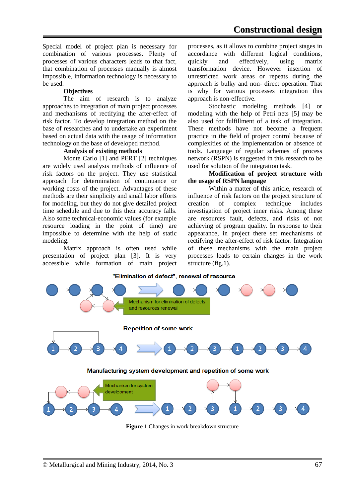Special model of project plan is necessary for combination of various processes. Plenty of processes of various characters leads to that fact, that combination of processes manually is almost impossible, information technology is necessary to be used.

#### **Objectives**

The aim of research is to analyze approaches to integration of main project processes and mechanisms of rectifying the after-effect of risk factor. To develop integration method on the base of researches and to undertake an experiment based on actual data with the usage of information technology on the base of developed method.

#### **Analysis of existing methods**

Monte Carlo [1] and PERT [2] techniques are widely used analysis methods of influence of risk factors on the project. They use statistical approach for determination of continuance or working costs of the project. Advantages of these methods are their simplicity and small labor efforts for modeling, but they do not give detailed project time schedule and due to this their accuracy falls. Also some technical-economic values (for example resource loading in the point of time) are impossible to determine with the help of static modeling.

Matrix approach is often used while presentation of project plan [3]. It is very accessible while formation of main project processes, as it allows to combine project stages in accordance with different logical conditions, quickly and effectively, using matrix transformation device. However insertion of unrestricted work areas or repeats during the approach is bulky and non- direct operation. That is why for various processes integration this approach is non-effective.

Stochastic modeling methods [4] or modeling with the help of Petri nets [5] may be also used for fulfillment of a task of integration. These methods have not become a frequent practice in the field of project control because of complexities of the implementation or absence of tools. Language of regular schemes of process network (RSPN) is suggested in this research to be used for solution of the integration task.

#### **Modification of project structure with the usage of RSPN language**

Within a matter of this article, research of influence of risk factors on the project structure of creation of complex technique includes investigation of project inner risks. Among these are resources fault, defects, and risks of not achieving of program quality. In response to their appearance, in project there set mechanisms of rectifying the after-effect of risk factor. Integration of these mechanisms with the main project processes leads to certain changes in the work structure (fig.1).

#### "Elimination of defect", renewal of resource



**Figure 1** Changes in work breakdown structure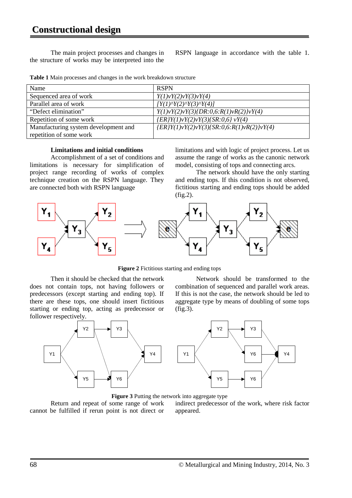## **Constructional design**

The main project processes and changes in the structure of works may be interpreted into the RSPN language in accordance with the table 1.

|  |  |  |  |  |  |  | Table 1 Main processes and changes in the work breakdown structure |  |
|--|--|--|--|--|--|--|--------------------------------------------------------------------|--|
|--|--|--|--|--|--|--|--------------------------------------------------------------------|--|

| Name                                 | <b>RSPN</b>                                                 |  |  |  |  |
|--------------------------------------|-------------------------------------------------------------|--|--|--|--|
| Sequenced area of work               | Y(1)vY(2)vY(3)vY(4)                                         |  |  |  |  |
| Parallel area of work                | $[Y(1)^NY(2)^NY(3)^NY(4)]$                                  |  |  |  |  |
| "Defect elimination"                 | Y(1)vY(2)vY(3)/DR:0,6:R(1)vR(2)/vY(4)                       |  |  |  |  |
| Repetition of some work              | $\{ER\}Y(1)\nu Y(2)\nu Y(3)\{SR:0,6\} \nu Y(4)$             |  |  |  |  |
| Manufacturing system development and | $\{ER\}Y(1)\nu Y(2)\nu Y(3)\{SR:0,6:R(1)\nu R(2)\}\nu Y(4)$ |  |  |  |  |
| repetition of some work              |                                                             |  |  |  |  |

#### **Limitations and initial conditions**

Accomplishment of a set of conditions and limitations is necessary for simplification of project range recording of works of complex technique creation on the RSPN language. They are connected both with RSPN language

limitations and with logic of project process. Let us assume the range of works as the canonic network model, consisting of tops and connecting arcs.

The network should have the only starting and ending tops. If this condition is not observed, fictitious starting and ending tops should be added (fig.2).



**Figure 2** Fictitious starting and ending tops

Then it should be checked that the network does not contain tops, not having followers or predecessors (except starting and ending top). If there are these tops, one should insert fictitious starting or ending top, acting as predecessor or follower respectively.



Network should be transformed to the combination of sequenced and parallel work areas. If this is not the case, the network should be led to aggregate type by means of doubling of some tops (fig.3).



**Figure 3** Putting the network into aggregate type

Return and repeat of some range of work cannot be fulfilled if rerun point is not direct or indirect predecessor of the work, where risk factor appeared.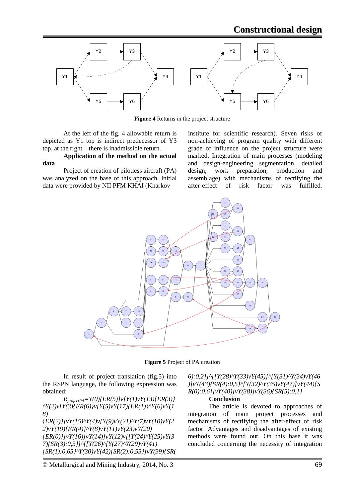

**Figure 4** Returns in the project structure

At the left of the fig. 4 allowable return is depicted as Y1 top is indirect predecessor of Y3 top, at the right – there is inadmissible return.

**Application of the method on the actual data** 

Project of creation of pilotless aircraft (PA) was analyzed on the base of this approach. Initial data were provided by NII PFM KHAI (Kharkov

institute for scientific research). Seven risks of non-achieving of program quality with different grade of influence on the project structure were marked. Integration of main processes (modeling and design-engineering segmentation, detailed design, work preparation, production and assemblage) with mechanisms of rectifying the after-effect of risk factor was fulfilled.



**Figure 5** Project of PA creation

In result of project translation (fig.5) into the RSPN language, the following expression was obtained:

 $R_{projectPA} = Y(0)$ {*ER(5)*} $v[Y(1)vY(13)$ {*ER(3)*} *^Y(2)v[Y(3){ER(6)}v[Y(5)vY(17){ER(1)}^Y(6)vY(1 8) {ER(2)}]vY(15)^Y(4)v[Y(9)vY(21)^Y(7)vY(10)vY(2 2)vY(19){ER(4)}^Y(8)vY(11)vY(23)vY(20) {ER(0)}]vY(16)]vY(14)]vY(12)v[[Y(24)^Y(25)vY(3 7){SR(3):0,5}]^[[Y(26)^[Y(27)^Y(29)vY(41) {SR(1):0,65}^Y(30)vY(42){SR(2):0,55}]vY(39){SR(* *6):0,2}]^[[Y(28)^Y(33)vY(45)]^[Y(31)^Y(34)vY(46 )]vY(43){SR(4):0,5}^[Y(32)^Y(35)vY(47)]vY(44){S R(0):0,6}]vY(40)]vY(38)]vY(36){SR(5):0,1}*

#### **Conclusion**

The article is devoted to approaches of integration of main project processes and mechanisms of rectifying the after-effect of risk factor. Advantages and disadvantages of existing methods were found out. On this base it was concluded concerning the necessity of integration